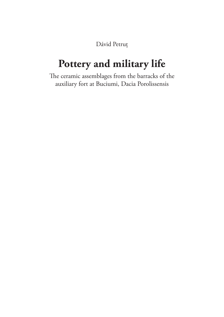Dávid Petruț

### **Pottery and military life**

The ceramic assemblages from the barracks of the auxiliary fort at Buciumi, Dacia Porolissensis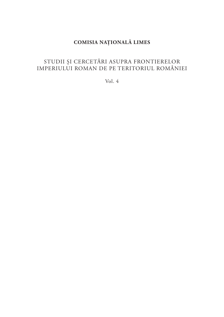#### **COMISIA NAȚIONALĂ LIMES**

#### STUDII ȘI CERCETĂRI ASUPRA FRONTIERELOR IMPERIULUI ROMAN DE PE TERITORIUL ROMÂNIEI

Vol. 4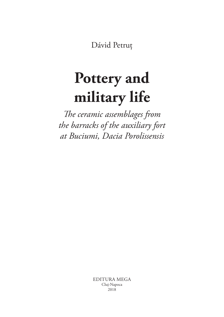Dávid Petruț

## **Pottery and military life**

*The ceramic assemblages from the barracks of the auxiliary fort at Buciumi, Dacia Porolissensis*

> EDITURA MEGA Cluj‑Napoca 2018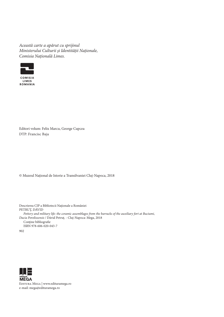*Această carte a apărut cu sprijinul Ministerului Culturii și Identității Naționale, Comisia Națională Limes.*



Editori volum: Felix Marcu, George Cupcea DTP: Francisc Baja

© Muzeul Național de Istorie a Transilvaniei Cluj-Napoca, 2018

Descrierea CIP a Bibliotecii Naţionale a României PETRUŢ, DÁVID *Pottery and military life: the ceramic assemblages from the barracks of the auxiliary fort at Buciumi, Dacia Porolissensis* / Dávid Petruţ. - Cluj-Napoca: Mega, 2018 Contine bibliografie ISBN 978-606-020-043-7 902



EDITURA MEGA | www.edituramega.ro e-mail: mega@edituramega.ro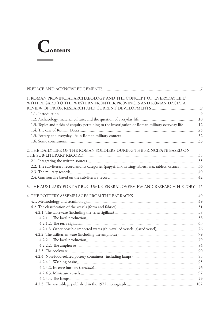# **Contents**

 $\mathcal{L}^{\text{max}}_{\text{max}}$  , and  $\mathcal{L}^{\text{max}}_{\text{max}}$ 

| 1. ROMAN PROVINCIAL ARCHAEOLOGY AND THE CONCEPT OF 'EVERYDAY LIFE'                                    |  |
|-------------------------------------------------------------------------------------------------------|--|
| WITH REGARD TO THE WESTERN FRONTIER PROVINCES AND ROMAN DACIA. A                                      |  |
|                                                                                                       |  |
|                                                                                                       |  |
|                                                                                                       |  |
| 1.3. Topics and fields of enquiry pertaining to the investigation of Roman military everyday life12   |  |
|                                                                                                       |  |
|                                                                                                       |  |
|                                                                                                       |  |
| 2. THE DAILY LIFE OF THE ROMAN SOLDIERS DURING THE PRINCIPATE BASED ON                                |  |
|                                                                                                       |  |
|                                                                                                       |  |
| 2.2. The sub-literary record and its categories (papyri, ink writing-tablets, wax tablets, ostraca)36 |  |
|                                                                                                       |  |
|                                                                                                       |  |
| 3. THE AUXILIARY FORT AT BUCIUMI. GENERAL OVERVIEW AND RESEARCH HISTORY 45                            |  |
|                                                                                                       |  |
|                                                                                                       |  |
|                                                                                                       |  |
|                                                                                                       |  |
|                                                                                                       |  |
|                                                                                                       |  |
|                                                                                                       |  |
|                                                                                                       |  |
|                                                                                                       |  |
|                                                                                                       |  |
|                                                                                                       |  |
|                                                                                                       |  |
|                                                                                                       |  |
|                                                                                                       |  |
|                                                                                                       |  |
|                                                                                                       |  |
|                                                                                                       |  |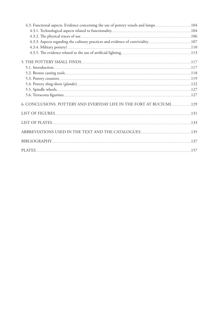| 4.3. Functional aspects. Evidence concerning the use of pottery vessels and lamps104 |  |
|--------------------------------------------------------------------------------------|--|
|                                                                                      |  |
|                                                                                      |  |
| 4.3.3. Aspects regarding the culinary practices and evidence of conviviality107      |  |
|                                                                                      |  |
|                                                                                      |  |
|                                                                                      |  |
|                                                                                      |  |
|                                                                                      |  |
|                                                                                      |  |
|                                                                                      |  |
|                                                                                      |  |
|                                                                                      |  |
| 6. CONCLUSIONS. POTTERY AND EVERYDAY LIFE IN THE FORT AT BUCIUMI129                  |  |
|                                                                                      |  |
|                                                                                      |  |
|                                                                                      |  |
|                                                                                      |  |
|                                                                                      |  |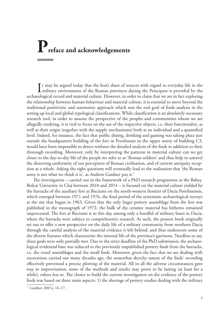### **Preface and acknowledgements**

It may be argued today that the lion's share of sources with regard to everyday life in the military environment of the Roman provinces during the Principate is provided by the military environment of the Roman provinces during the Principate is provided by the archaeological record and material culture. However, in order to claim that we are in fact exploring the relationship between human behaviour and material culture, it is essential to move beyond the traditional positivistic and taxonomic approach which sees the end goal of finds analysis in the setting up local and global typological classifications. While classification is an absolutely necessary research tool, in order to assume the perspective of the peoples and communities whom we are allegedly studying, it is vital to focus on the use of the respective objects, i.e. their functionality, as well as their origin (together with the supply mechanisms) both at an individual and a quantified level. Indeed, for instance, the fact that public dining, drinking and gaming was taking place just outside the headquarters building of the fort in Porolissum in the upper storey of building C3, would have been impossible to detect without the detailed analysis of the finds in addition to their thorough recording. Moreover, only by interpreting the patterns in material culture can we get closer to the day-to-day life of the people we refer to as 'Roman soldiers' and thus help to unravel the distorting uniformity of our perception of Roman civilisation, and of current antiquity reception as a whole. Asking the right questions will eventually lead to the realization that 'the Roman army is not what we think it is', as Andrew Gardner put it.<sup>1</sup>

The investigation – carried out in the framework of a PhD research programme at the Babeș-Bolyai University in Cluj between 2010 and 2014 – is focused on the material culture yielded by the barracks of the auxiliary fort at Buciumi on the north-western frontier of Dacia Porolissensis, which emerged between 1971 and 1976, the final period of the systematic archaeological surveys at the site that began in 1963. Given that the only larger pottery assemblage from the fort was published in the monograph of 1972, the bulk of the ceramic material has hitherto remained unprocessed. The fort at Buciumi is to this day among only a handful of military bases in Dacia, where the barracks were subject to comprehensive research. As such, the present book originally set out to offer a new perspective on the daily life of a military community from northern Dacia through the careful analysis of the material evidence it left behind, and thus underscore some of the diverse features which characterize the internal life of the province's garrisons. Needless to say, these goals were only partially met. Due to the strict deadline of the PhD submission, the archaeological evidential base was reduced to the previously unpublished pottery finds from the barracks, i.e. the vessel assemblages and the small finds. Moreover, given the fact that we are dealing with excavations carried out many decades ago, the somewhat sketchy nature of the finds' recording effectively prevented a precise plotting of the material. All in all the adverse circumstances gave way to improvisation, some of the methods and results may prove to be lasting (at least for a while), others less so. The choice to build the current investigation on the evidence of the pottery finds was based on three main aspects: 1) the shortage of pottery studies dealing with the military

<sup>&</sup>lt;sup>1</sup> Gardner 2007a, 16-17.